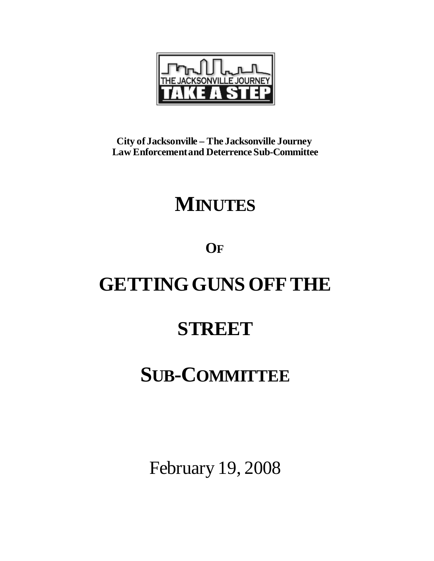

**City of Jacksonville – The Jacksonville Journey Law Enforcement and Deterrence Sub-Committee**

## **MINUTES**

### **OF**

# **GETTINGGUNS OFFTHE**

### **STREET**

# **SUB-COMMITTEE**

February 19, 2008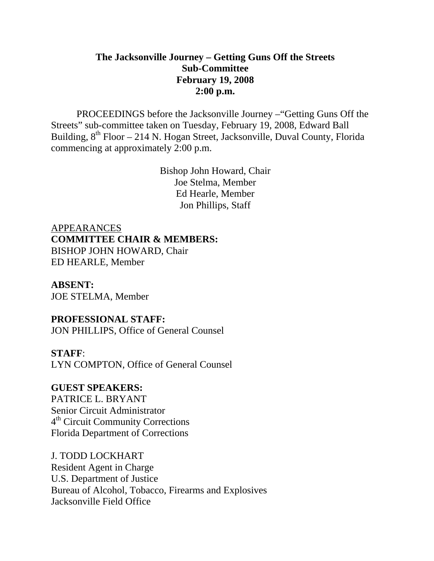#### **The Jacksonville Journey – Getting Guns Off the Streets Sub-Committee February 19, 2008 2:00 p.m.**

 PROCEEDINGS before the Jacksonville Journey –"Getting Guns Off the Streets" sub-committee taken on Tuesday, February 19, 2008, Edward Ball Building,  $8^{th}$  Floor – 214 N. Hogan Street, Jacksonville, Duval County, Florida commencing at approximately 2:00 p.m.

> Bishop John Howard, Chair Joe Stelma, Member Ed Hearle, Member Jon Phillips, Staff

APPEARANCES **COMMITTEE CHAIR & MEMBERS:** BISHOP JOHN HOWARD, Chair ED HEARLE, Member

#### **ABSENT:**

JOE STELMA, Member

#### **PROFESSIONAL STAFF:**

JON PHILLIPS, Office of General Counsel

#### **STAFF**:

LYN COMPTON, Office of General Counsel

#### **GUEST SPEAKERS:**

PATRICE L. BRYANT Senior Circuit Administrator 4th Circuit Community Corrections Florida Department of Corrections

#### J. TODD LOCKHART

Resident Agent in Charge U.S. Department of Justice Bureau of Alcohol, Tobacco, Firearms and Explosives Jacksonville Field Office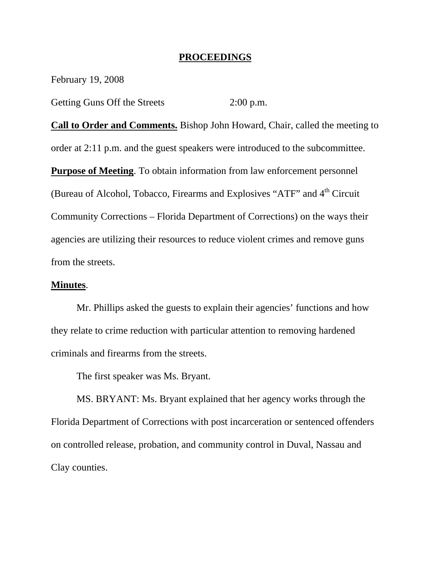#### **PROCEEDINGS**

February 19, 2008

Getting Guns Off the Streets 2:00 p.m.

**Call to Order and Comments.** Bishop John Howard, Chair, called the meeting to order at 2:11 p.m. and the guest speakers were introduced to the subcommittee. **Purpose of Meeting**. To obtain information from law enforcement personnel (Bureau of Alcohol, Tobacco, Firearms and Explosives "ATF" and  $4<sup>th</sup>$  Circuit Community Corrections – Florida Department of Corrections) on the ways their agencies are utilizing their resources to reduce violent crimes and remove guns from the streets.

#### **Minutes**.

Mr. Phillips asked the guests to explain their agencies' functions and how they relate to crime reduction with particular attention to removing hardened criminals and firearms from the streets.

The first speaker was Ms. Bryant.

 MS. BRYANT: Ms. Bryant explained that her agency works through the Florida Department of Corrections with post incarceration or sentenced offenders on controlled release, probation, and community control in Duval, Nassau and Clay counties.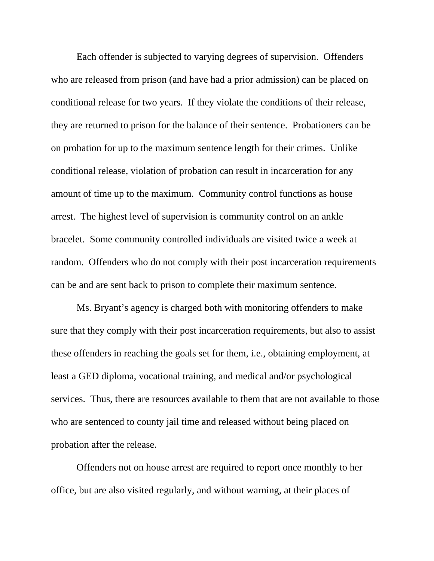Each offender is subjected to varying degrees of supervision. Offenders who are released from prison (and have had a prior admission) can be placed on conditional release for two years. If they violate the conditions of their release, they are returned to prison for the balance of their sentence. Probationers can be on probation for up to the maximum sentence length for their crimes. Unlike conditional release, violation of probation can result in incarceration for any amount of time up to the maximum. Community control functions as house arrest. The highest level of supervision is community control on an ankle bracelet. Some community controlled individuals are visited twice a week at random. Offenders who do not comply with their post incarceration requirements can be and are sent back to prison to complete their maximum sentence.

 Ms. Bryant's agency is charged both with monitoring offenders to make sure that they comply with their post incarceration requirements, but also to assist these offenders in reaching the goals set for them, i.e., obtaining employment, at least a GED diploma, vocational training, and medical and/or psychological services. Thus, there are resources available to them that are not available to those who are sentenced to county jail time and released without being placed on probation after the release.

 Offenders not on house arrest are required to report once monthly to her office, but are also visited regularly, and without warning, at their places of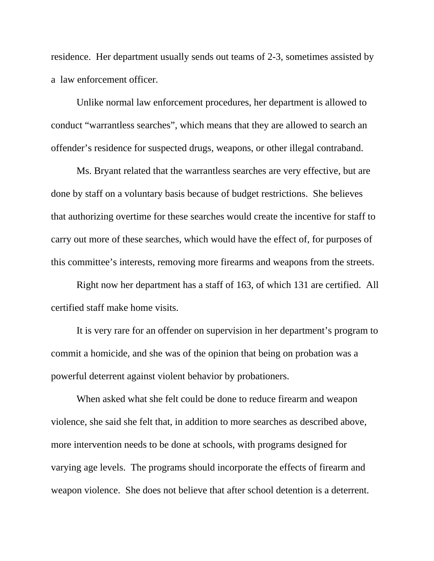residence. Her department usually sends out teams of 2-3, sometimes assisted by a law enforcement officer.

 Unlike normal law enforcement procedures, her department is allowed to conduct "warrantless searches", which means that they are allowed to search an offender's residence for suspected drugs, weapons, or other illegal contraband.

 Ms. Bryant related that the warrantless searches are very effective, but are done by staff on a voluntary basis because of budget restrictions. She believes that authorizing overtime for these searches would create the incentive for staff to carry out more of these searches, which would have the effect of, for purposes of this committee's interests, removing more firearms and weapons from the streets.

 Right now her department has a staff of 163, of which 131 are certified. All certified staff make home visits.

 It is very rare for an offender on supervision in her department's program to commit a homicide, and she was of the opinion that being on probation was a powerful deterrent against violent behavior by probationers.

 When asked what she felt could be done to reduce firearm and weapon violence, she said she felt that, in addition to more searches as described above, more intervention needs to be done at schools, with programs designed for varying age levels. The programs should incorporate the effects of firearm and weapon violence. She does not believe that after school detention is a deterrent.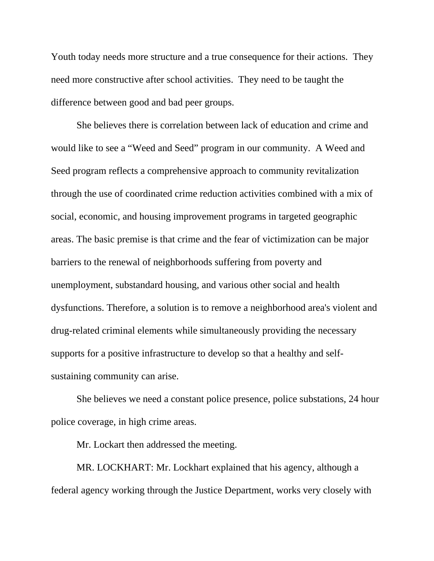Youth today needs more structure and a true consequence for their actions. They need more constructive after school activities. They need to be taught the difference between good and bad peer groups.

 She believes there is correlation between lack of education and crime and would like to see a "Weed and Seed" program in our community. A Weed and Seed program reflects a comprehensive approach to community revitalization through the use of coordinated crime reduction activities combined with a mix of social, economic, and housing improvement programs in targeted geographic areas. The basic premise is that crime and the fear of victimization can be major barriers to the renewal of neighborhoods suffering from poverty and unemployment, substandard housing, and various other social and health dysfunctions. Therefore, a solution is to remove a neighborhood area's violent and drug-related criminal elements while simultaneously providing the necessary supports for a positive infrastructure to develop so that a healthy and selfsustaining community can arise.

 She believes we need a constant police presence, police substations, 24 hour police coverage, in high crime areas.

Mr. Lockart then addressed the meeting.

 MR. LOCKHART: Mr. Lockhart explained that his agency, although a federal agency working through the Justice Department, works very closely with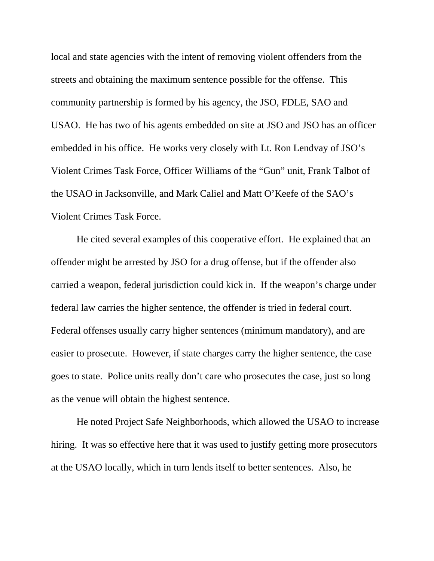local and state agencies with the intent of removing violent offenders from the streets and obtaining the maximum sentence possible for the offense. This community partnership is formed by his agency, the JSO, FDLE, SAO and USAO. He has two of his agents embedded on site at JSO and JSO has an officer embedded in his office. He works very closely with Lt. Ron Lendvay of JSO's Violent Crimes Task Force, Officer Williams of the "Gun" unit, Frank Talbot of the USAO in Jacksonville, and Mark Caliel and Matt O'Keefe of the SAO's Violent Crimes Task Force.

 He cited several examples of this cooperative effort. He explained that an offender might be arrested by JSO for a drug offense, but if the offender also carried a weapon, federal jurisdiction could kick in. If the weapon's charge under federal law carries the higher sentence, the offender is tried in federal court. Federal offenses usually carry higher sentences (minimum mandatory), and are easier to prosecute. However, if state charges carry the higher sentence, the case goes to state. Police units really don't care who prosecutes the case, just so long as the venue will obtain the highest sentence.

 He noted Project Safe Neighborhoods, which allowed the USAO to increase hiring. It was so effective here that it was used to justify getting more prosecutors at the USAO locally, which in turn lends itself to better sentences. Also, he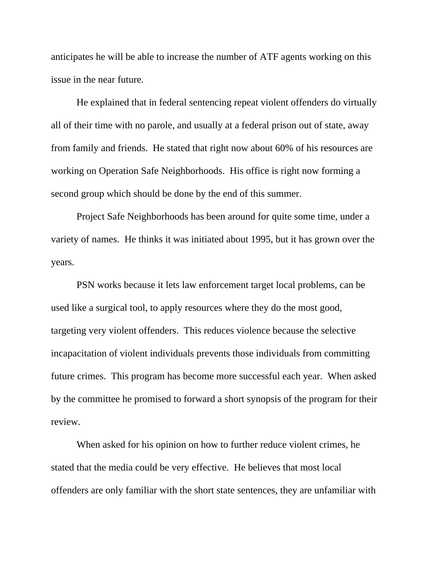anticipates he will be able to increase the number of ATF agents working on this issue in the near future.

 He explained that in federal sentencing repeat violent offenders do virtually all of their time with no parole, and usually at a federal prison out of state, away from family and friends. He stated that right now about 60% of his resources are working on Operation Safe Neighborhoods. His office is right now forming a second group which should be done by the end of this summer.

 Project Safe Neighborhoods has been around for quite some time, under a variety of names. He thinks it was initiated about 1995, but it has grown over the years.

 PSN works because it lets law enforcement target local problems, can be used like a surgical tool, to apply resources where they do the most good, targeting very violent offenders. This reduces violence because the selective incapacitation of violent individuals prevents those individuals from committing future crimes. This program has become more successful each year. When asked by the committee he promised to forward a short synopsis of the program for their review.

 When asked for his opinion on how to further reduce violent crimes, he stated that the media could be very effective. He believes that most local offenders are only familiar with the short state sentences, they are unfamiliar with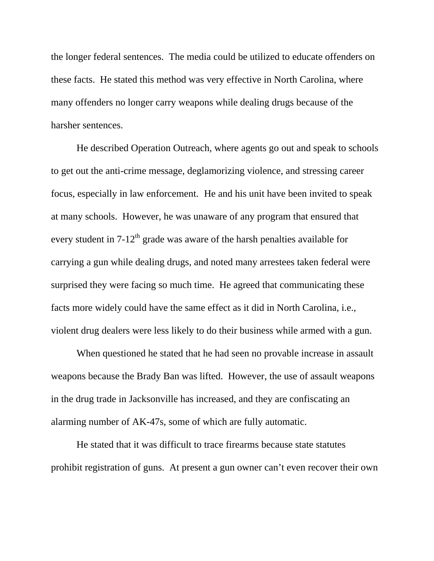the longer federal sentences. The media could be utilized to educate offenders on these facts. He stated this method was very effective in North Carolina, where many offenders no longer carry weapons while dealing drugs because of the harsher sentences.

 He described Operation Outreach, where agents go out and speak to schools to get out the anti-crime message, deglamorizing violence, and stressing career focus, especially in law enforcement. He and his unit have been invited to speak at many schools. However, he was unaware of any program that ensured that every student in  $7-12^{th}$  grade was aware of the harsh penalties available for carrying a gun while dealing drugs, and noted many arrestees taken federal were surprised they were facing so much time. He agreed that communicating these facts more widely could have the same effect as it did in North Carolina, i.e., violent drug dealers were less likely to do their business while armed with a gun.

 When questioned he stated that he had seen no provable increase in assault weapons because the Brady Ban was lifted. However, the use of assault weapons in the drug trade in Jacksonville has increased, and they are confiscating an alarming number of AK-47s, some of which are fully automatic.

 He stated that it was difficult to trace firearms because state statutes prohibit registration of guns. At present a gun owner can't even recover their own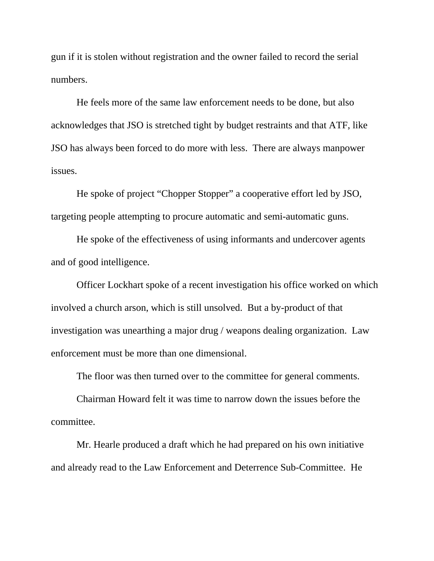gun if it is stolen without registration and the owner failed to record the serial numbers.

 He feels more of the same law enforcement needs to be done, but also acknowledges that JSO is stretched tight by budget restraints and that ATF, like JSO has always been forced to do more with less. There are always manpower issues.

 He spoke of project "Chopper Stopper" a cooperative effort led by JSO, targeting people attempting to procure automatic and semi-automatic guns.

 He spoke of the effectiveness of using informants and undercover agents and of good intelligence.

 Officer Lockhart spoke of a recent investigation his office worked on which involved a church arson, which is still unsolved. But a by-product of that investigation was unearthing a major drug / weapons dealing organization. Law enforcement must be more than one dimensional.

The floor was then turned over to the committee for general comments.

 Chairman Howard felt it was time to narrow down the issues before the committee.

 Mr. Hearle produced a draft which he had prepared on his own initiative and already read to the Law Enforcement and Deterrence Sub-Committee. He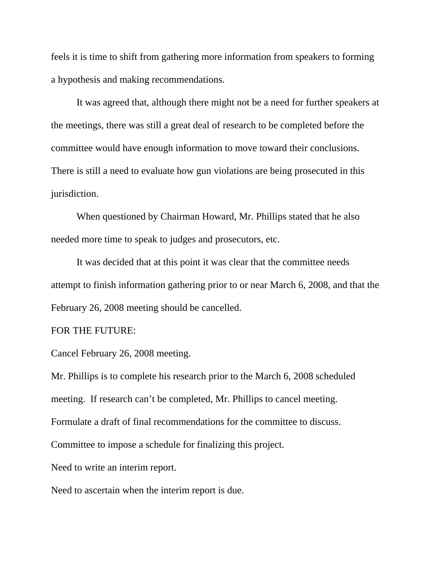feels it is time to shift from gathering more information from speakers to forming a hypothesis and making recommendations.

 It was agreed that, although there might not be a need for further speakers at the meetings, there was still a great deal of research to be completed before the committee would have enough information to move toward their conclusions. There is still a need to evaluate how gun violations are being prosecuted in this jurisdiction.

 When questioned by Chairman Howard, Mr. Phillips stated that he also needed more time to speak to judges and prosecutors, etc.

 It was decided that at this point it was clear that the committee needs attempt to finish information gathering prior to or near March 6, 2008, and that the February 26, 2008 meeting should be cancelled.

#### FOR THE FUTURE:

Cancel February 26, 2008 meeting.

Mr. Phillips is to complete his research prior to the March 6, 2008 scheduled meeting. If research can't be completed, Mr. Phillips to cancel meeting. Formulate a draft of final recommendations for the committee to discuss. Committee to impose a schedule for finalizing this project. Need to write an interim report.

Need to ascertain when the interim report is due.